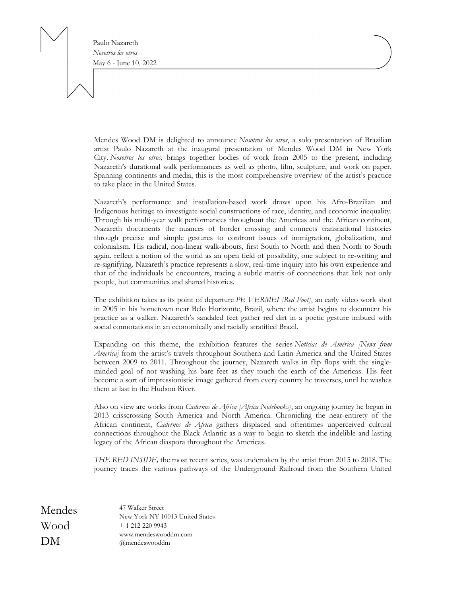Paulo Nazareth *Nosotros los otros* May 6 - June 10, 2022

Mendes Wood DM is delighted to announce *Nosotros los otros*, a solo presentation of Brazilian artist Paulo Nazareth at the inaugural presentation of Mendes Wood DM in New York City. *Nosotros los otros*, brings together bodies of work from 2005 to the present, including Nazareth's durational walk performances as well as photo, film, sculpture, and work on paper. Spanning continents and media, this is the most comprehensive overview of the artist's practice to take place in the United States.

Nazareth's performance and installation-based work draws upon his Afro-Brazilian and Indigenous heritage to investigate social constructions of race, identity, and economic inequality. Through his multi-year walk performances throughout the Americas and the African continent, Nazareth documents the nuances of border crossing and connects transnational histories through precise and simple gestures to confront issues of immigration, globalization, and colonialism. His radical, non-linear walk-abouts, first South to North and then North to South again, reflect a notion of the world as an open field of possibility, one subject to re-writing and re-signifying. Nazareth's practice represents a slow, real-time inquiry into his own experience and that of the individuals he encounters, tracing a subtle matrix of connections that link not only people, but communities and shared histories.

The exhibition takes as its point of departure *PE VERMEI [Red Foot]*, an early video work shot in 2005 in his hometown near Belo Horizonte, Brazil, where the artist begins to document his practice as a walker. Nazareth's sandaled feet gather red dirt in a poetic gesture imbued with social connotations in an economically and racially stratified Brazil.

Expanding on this theme, the exhibition features the series *Notícias de América [News from America]* from the artist's travels throughout Southern and Latin America and the United States between 2009 to 2011. Throughout the journey, Nazareth walks in flip flops with the singleminded goal of not washing his bare feet as they touch the earth of the Americas. His feet become a sort of impressionistic image gathered from every country he traverses, until he washes them at last in the Hudson River.

Also on view are works from *Cadernos de Africa [Africa Notebooks]*, an ongoing journey he began in 2013 crisscrossing South America and North America. Chronicling the near-entirety of the African continent, *Cadernos de Africa* gathers displaced and oftentimes unperceived cultural connections throughout the Black Atlantic as a way to begin to sketch the indelible and lasting legacy of the African diaspora throughout the Americas.

*THE RED INSIDE,* the most recent series, was undertaken by the artist from 2015 to 2018. The journey traces the various pathways of the Underground Railroad from the Southern United

| Mendes | 47 Walker Street<br>New York NY 10013 United States |
|--------|-----------------------------------------------------|
| Wood   | $+ 1$ 212 220 9943                                  |
| DM     | www.mendeswooddm.com<br>@mendeswooddm               |